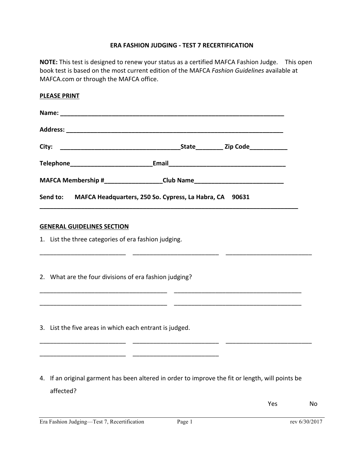## **ERA FASHION JUDGING - TEST 7 RECERTIFICATION**

**NOTE:** This test is designed to renew your status as a certified MAFCA Fashion Judge. This open book test is based on the most current edition of the MAFCA *Fashion Guidelines* available at MAFCA.com or through the MAFCA office.

| <b>PLEASE PRINT</b> |           |                                   |                                                                  |  |                                                                                                  |  |  |  |  |
|---------------------|-----------|-----------------------------------|------------------------------------------------------------------|--|--------------------------------------------------------------------------------------------------|--|--|--|--|
|                     |           |                                   |                                                                  |  |                                                                                                  |  |  |  |  |
|                     |           |                                   |                                                                  |  |                                                                                                  |  |  |  |  |
|                     |           |                                   |                                                                  |  |                                                                                                  |  |  |  |  |
|                     |           |                                   |                                                                  |  | Telephone_______________________________Email___________________________________                 |  |  |  |  |
|                     |           |                                   |                                                                  |  | MAFCA Membership #___________________Club Name__________________________________                 |  |  |  |  |
|                     |           |                                   | Send to: MAFCA Headquarters, 250 So. Cypress, La Habra, CA 90631 |  |                                                                                                  |  |  |  |  |
|                     |           | <b>GENERAL GUIDELINES SECTION</b> |                                                                  |  |                                                                                                  |  |  |  |  |
|                     |           |                                   | 1. List the three categories of era fashion judging.             |  |                                                                                                  |  |  |  |  |
|                     |           |                                   | 2. What are the four divisions of era fashion judging?           |  |                                                                                                  |  |  |  |  |
|                     |           |                                   | 3. List the five areas in which each entrant is judged.          |  |                                                                                                  |  |  |  |  |
|                     |           |                                   |                                                                  |  |                                                                                                  |  |  |  |  |
|                     | affected? |                                   |                                                                  |  | 4. If an original garment has been altered in order to improve the fit or length, will points be |  |  |  |  |

Yes No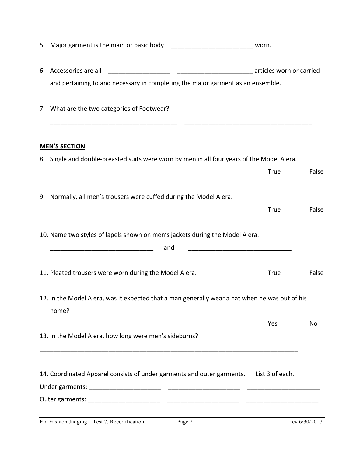|                                                                                                                                                         | worn.       |       |  |  |  |
|---------------------------------------------------------------------------------------------------------------------------------------------------------|-------------|-------|--|--|--|
| 6. Accessories are all                                                                                                                                  |             |       |  |  |  |
| and pertaining to and necessary in completing the major garment as an ensemble.                                                                         |             |       |  |  |  |
| 7. What are the two categories of Footwear?                                                                                                             |             |       |  |  |  |
| <b>MEN'S SECTION</b>                                                                                                                                    |             |       |  |  |  |
| 8. Single and double-breasted suits were worn by men in all four years of the Model A era.                                                              |             |       |  |  |  |
|                                                                                                                                                         | True        | False |  |  |  |
| 9. Normally, all men's trousers were cuffed during the Model A era.                                                                                     |             |       |  |  |  |
|                                                                                                                                                         | <b>True</b> | False |  |  |  |
| 10. Name two styles of lapels shown on men's jackets during the Model A era.<br>and<br><u> 1980 - Jan James James Barnett, fransk politik (d. 1980)</u> |             |       |  |  |  |
| 11. Pleated trousers were worn during the Model A era.                                                                                                  | <b>True</b> | False |  |  |  |
| 12. In the Model A era, was it expected that a man generally wear a hat when he was out of his<br>home?                                                 |             |       |  |  |  |
|                                                                                                                                                         | Yes         | No    |  |  |  |
| 13. In the Model A era, how long were men's sideburns?                                                                                                  |             |       |  |  |  |
| 14. Coordinated Apparel consists of under garments and outer garments. List 3 of each.                                                                  |             |       |  |  |  |
|                                                                                                                                                         |             |       |  |  |  |
|                                                                                                                                                         |             |       |  |  |  |
|                                                                                                                                                         |             |       |  |  |  |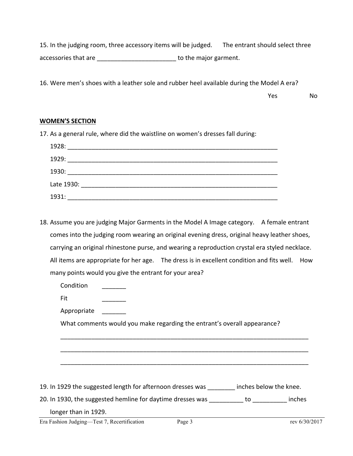15. In the judging room, three accessory items will be judged. The entrant should select three accessories that are \_\_\_\_\_\_\_\_\_\_\_\_\_\_\_\_\_\_\_\_\_\_\_ to the major garment.

16. Were men's shoes with a leather sole and rubber heel available during the Model A era?

Yes No

## **WOMEN'S SECTION**

17. As a general rule, where did the waistline on women's dresses fall during:

| 1928:      |  |
|------------|--|
| 1929:      |  |
| 1930:      |  |
| Late 1930: |  |
| 1931:      |  |

- 18. Assume you are judging Major Garments in the Model A Image category. A female entrant comes into the judging room wearing an original evening dress, original heavy leather shoes, carrying an original rhinestone purse, and wearing a reproduction crystal era styled necklace. All items are appropriate for her age. The dress is in excellent condition and fits well. How many points would you give the entrant for your area?
	- Condition
	- Fit
	- Appropriate

What comments would you make regarding the entrant's overall appearance?

\_\_\_\_\_\_\_\_\_\_\_\_\_\_\_\_\_\_\_\_\_\_\_\_\_\_\_\_\_\_\_\_\_\_\_\_\_\_\_\_\_\_\_\_\_\_\_\_\_\_\_\_\_\_\_\_\_\_\_\_\_\_\_\_\_\_\_\_\_\_\_\_

\_\_\_\_\_\_\_\_\_\_\_\_\_\_\_\_\_\_\_\_\_\_\_\_\_\_\_\_\_\_\_\_\_\_\_\_\_\_\_\_\_\_\_\_\_\_\_\_\_\_\_\_\_\_\_\_\_\_\_\_\_\_\_\_\_\_\_\_\_\_\_\_

\_\_\_\_\_\_\_\_\_\_\_\_\_\_\_\_\_\_\_\_\_\_\_\_\_\_\_\_\_\_\_\_\_\_\_\_\_\_\_\_\_\_\_\_\_\_\_\_\_\_\_\_\_\_\_\_\_\_\_\_\_\_\_\_\_\_\_\_\_\_\_\_

19. In 1929 the suggested length for afternoon dresses was \_\_\_\_\_\_\_ inches below the knee. 20. In 1930, the suggested hemline for daytime dresses was do to contract to the sinches longer than in 1929.